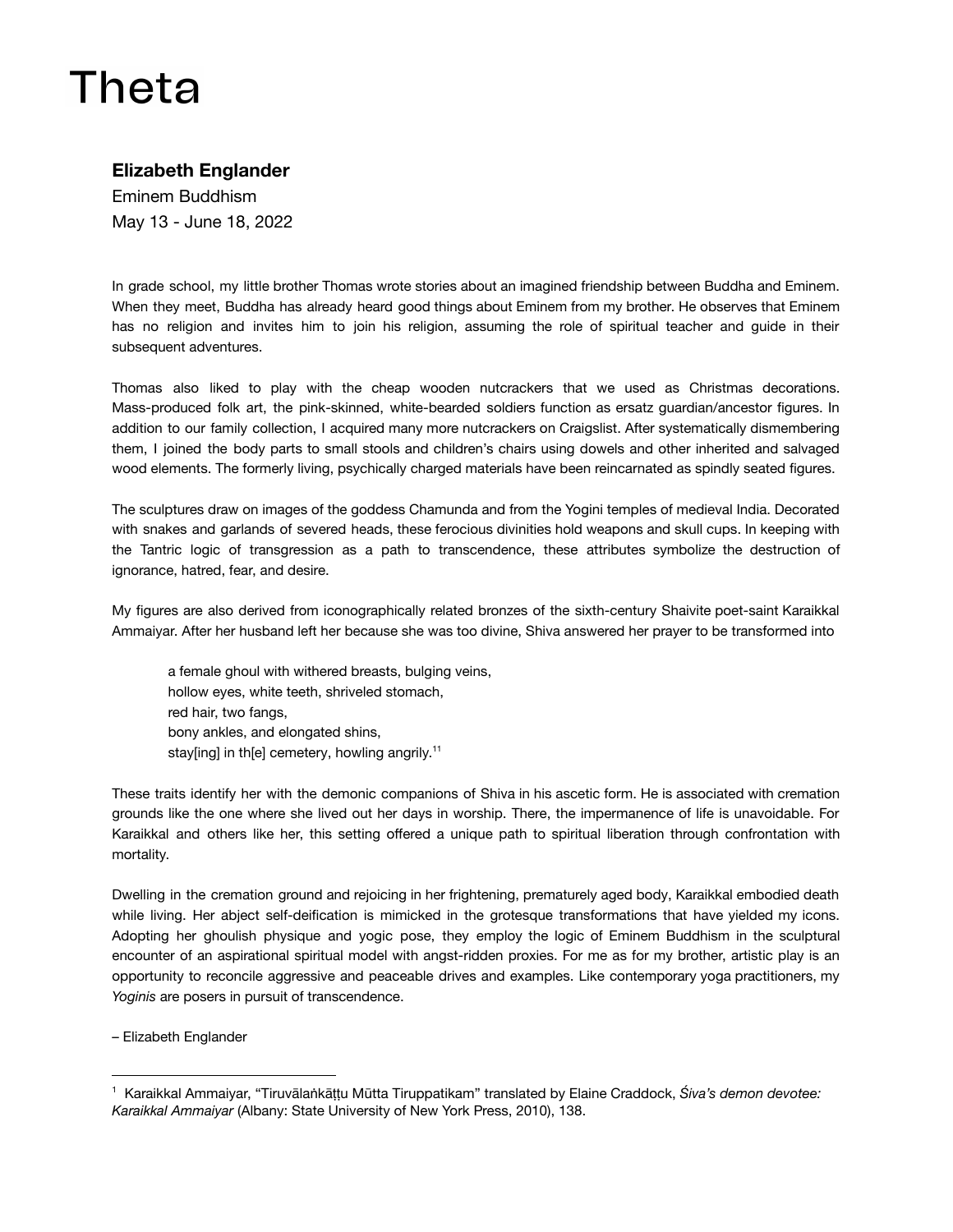## Theta

## **Elizabeth Englander**

Eminem Buddhism May 13 - June 18, 2022

In grade school, my little brother Thomas wrote stories about an imagined friendship between Buddha and Eminem. When they meet, Buddha has already heard good things about Eminem from my brother. He observes that Eminem has no religion and invites him to join his religion, assuming the role of spiritual teacher and guide in their subsequent adventures.

Thomas also liked to play with the cheap wooden nutcrackers that we used as Christmas decorations. Mass-produced folk art, the pink-skinned, white-bearded soldiers function as ersatz guardian/ancestor figures. In addition to our family collection, I acquired many more nutcrackers on Craigslist. After systematically dismembering them, I joined the body parts to small stools and children's chairs using dowels and other inherited and salvaged wood elements. The formerly living, psychically charged materials have been reincarnated as spindly seated figures.

The sculptures draw on images of the goddess Chamunda and from the Yogini temples of medieval India. Decorated with snakes and garlands of severed heads, these ferocious divinities hold weapons and skull cups. In keeping with the Tantric logic of transgression as a path to transcendence, these attributes symbolize the destruction of ignorance, hatred, fear, and desire.

My figures are also derived from iconographically related bronzes of the sixth-century Shaivite poet-saint Karaikkal Ammaiyar. After her husband left her because she was too divine, Shiva answered her prayer to be transformed into

a female ghoul with withered breasts, bulging veins, hollow eyes, white teeth, shriveled stomach, red hair, two fangs, bony ankles, and elongated shins, stay[ing] in th[e] cemetery, howling angrily.<sup>11</sup>

These traits identify her with the demonic companions of Shiva in his ascetic form. He is associated with cremation grounds like the one where she lived out her days in worship. There, the impermanence of life is unavoidable. For Karaikkal and others like her, this setting offered a unique path to spiritual liberation through confrontation with mortality.

Dwelling in the cremation ground and rejoicing in her frightening, prematurely aged body, Karaikkal embodied death while living. Her abject self-deification is mimicked in the grotesque transformations that have yielded my icons. Adopting her ghoulish physique and yogic pose, they employ the logic of Eminem Buddhism in the sculptural encounter of an aspirational spiritual model with angst-ridden proxies. For me as for my brother, artistic play is an opportunity to reconcile aggressive and peaceable drives and examples. Like contemporary yoga practitioners, my *Yoginis* are posers in pursuit of transcendence.

– Elizabeth Englander

<sup>1</sup> Karaikkal Ammaiyar, "Tiruvālaṅkāṭṭu Mūtta Tiruppatikam" translated by Elaine Craddock, *Śiva's demon devotee: Karaikkal Ammaiyar* (Albany: State University of New York Press, 2010), 138.